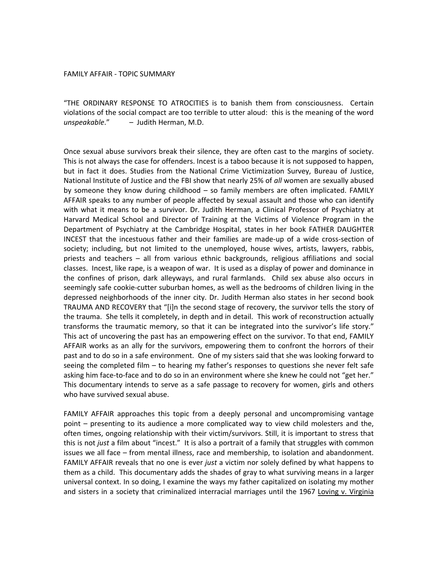## FAMILY
AFFAIR
‐
TOPIC
SUMMARY

"THE ORDINARY RESPONSE TO ATROCITIES is to banish them from consciousness. Certain violations
of
the
social
compact
are
too
terrible
to
utter
aloud:

this
is
the
meaning
of
the
word *unspeakable*." –

Judith
Herman,
M.D.

Once sexual abuse survivors break their silence, they are often cast to the margins of society. This is not always the case for offenders. Incest is a taboo because it is not supposed to happen, but in fact it does. Studies from the National Crime Victimization Survey, Bureau of Justice, National Institute of Justice and the FBI show that nearly 25% of all women are sexually abused by someone they know during childhood – so family members are often implicated. FAMILY AFFAIR speaks to any number of people affected by sexual assault and those who can identify with what it means to be a survivor. Dr. Judith Herman, a Clinical Professor of Psychiatry at Harvard Medical School and Director of Training at the Victims of Violence Program in the Department of Psychiatry at the Cambridge Hospital, states in her book FATHER DAUGHTER INCEST that the incestuous father and their families are made-up of a wide cross-section of society; including, but not limited to the unemployed, house wives, artists, lawyers, rabbis, priests
 and
 teachers –
 all
 from
 various
 ethnic
 backgrounds,
 religious
 affiliations
 and
 social classes. Incest, like rape, is a weapon of war. It is used as a display of power and dominance in the confines of prison, dark alleyways, and rural farmlands. Child sex abuse also occurs in seemingly safe cookie-cutter suburban homes, as well as the bedrooms of children living in the depressed
neighborhoods
of
 the
inner
city.
Dr.
 Judith
Herman
also
 states
in
her
 second
book TRAUMA AND RECOVERY that "[i]n the second stage of recovery, the survivor tells the story of the
trauma.

She
tells
it
completely,
in
depth
and
in
detail.

This
work
of
reconstruction
actually transforms the traumatic memory, so that it can be integrated into the survivor's life story." This
act
of
uncovering
the
past
has
an
empowering
effect
on
the
survivor.
To
that
end,
FAMILY AFFAIR works as an ally for the survivors, empowering them to confront the horrors of their past and to do so in a safe environment. One of my sisters said that she was looking forward to seeing the completed film - to hearing my father's responses to questions she never felt safe asking him face-to-face and to do so in an environment where she knew he could not "get her." This documentary intends to serve as a safe passage to recovery for women, girls and others who
have
survived
sexual
abuse.

FAMILY AFFAIR approaches this topic from a deeply personal and uncompromising vantage point – presenting to its audience a more complicated way to view child molesters and the, often times, ongoing relationship with their victim/survivors. Still, it is important to stress that this is not *just* a film about "incest." It is also a portrait of a family that struggles with common issues we all face - from mental illness, race and membership, to isolation and abandonment. FAMILY AFFAIR reveals that no one is ever *just* a victim nor solely defined by what happens to them
as
a
child.

This
documentary
adds
the
shades
of
gray
to
what
surviving
means
in
a
larger universal
context.
In
so
doing,
I
examine
the
ways
my
father
capitalized
on
isolating
my
mother and sisters in a society that criminalized interracial marriages until the 1967 Loving v. Virginia